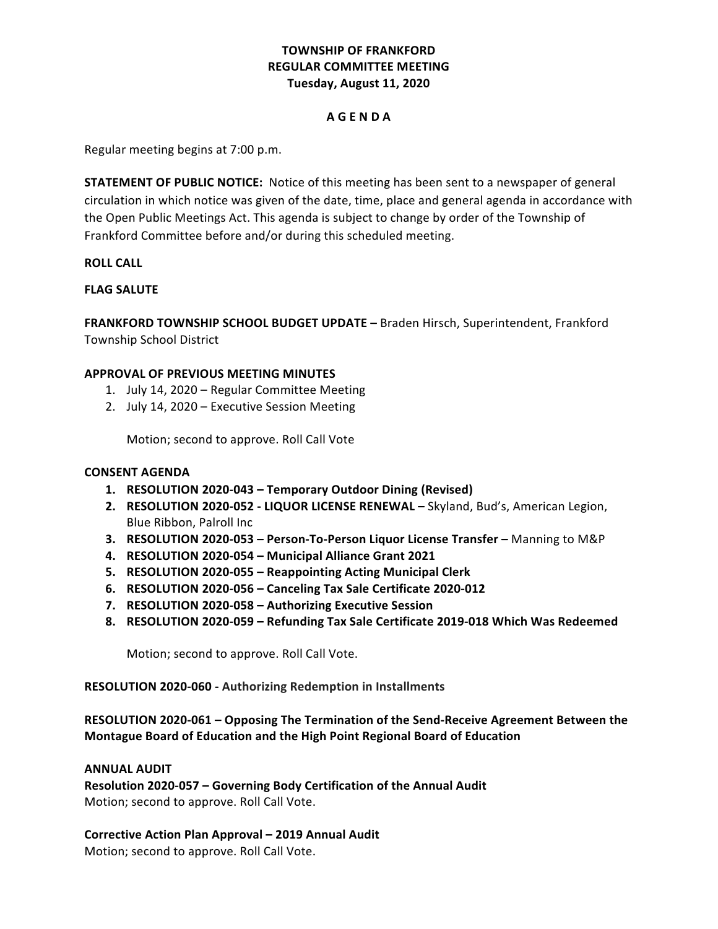# **TOWNSHIP OF FRANKFORD REGULAR COMMITTEE MEETING Tuesday, August 11, 2020**

### **A G E N D A**

Regular meeting begins at 7:00 p.m.

**STATEMENT OF PUBLIC NOTICE:** Notice of this meeting has been sent to a newspaper of general circulation in which notice was given of the date, time, place and general agenda in accordance with the Open Public Meetings Act. This agenda is subject to change by order of the Township of Frankford Committee before and/or during this scheduled meeting.

#### **ROLL CALL**

# **FLAG SALUTE**

**FRANKFORD TOWNSHIP SCHOOL BUDGET UPDATE - Braden Hirsch, Superintendent, Frankford** Township School District

#### **APPROVAL OF PREVIOUS MEETING MINUTES**

- 1. July 14, 2020 Regular Committee Meeting
- 2. July 14, 2020 Executive Session Meeting

Motion; second to approve. Roll Call Vote

#### **CONSENT AGENDA**

- **1. RESOLUTION 2020-043 – Temporary Outdoor Dining (Revised)**
- 2. **RESOLUTION 2020-052 LIQUOR LICENSE RENEWAL** Skyland, Bud's, American Legion, Blue Ribbon, Palroll Inc
- **3. RESOLUTION 2020-053 Person-To-Person Liquor License Transfer Manning to M&P**
- **4. RESOLUTION 2020-054 – Municipal Alliance Grant 2021**
- **5. RESOLUTION 2020-055 – Reappointing Acting Municipal Clerk**
- **6. RESOLUTION 2020-056 – Canceling Tax Sale Certificate 2020-012**
- **7. RESOLUTION 2020-058 – Authorizing Executive Session**
- **8. RESOLUTION 2020-059 – Refunding Tax Sale Certificate 2019-018 Which Was Redeemed**

Motion; second to approve. Roll Call Vote.

**RESOLUTION 2020-060 - Authorizing Redemption in Installments**

# **RESOLUTION 2020-061 – Opposing The Termination of the Send-Receive Agreement Between the Montague Board of Education and the High Point Regional Board of Education**

#### **ANNUAL AUDIT**

Resolution 2020-057 - Governing Body Certification of the Annual Audit Motion; second to approve. Roll Call Vote.

**Corrective Action Plan Approval – 2019 Annual Audit**

Motion; second to approve. Roll Call Vote.